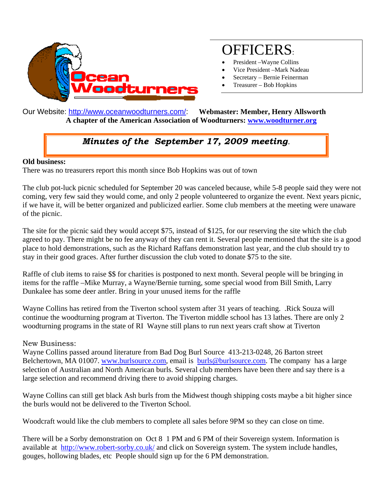

## OFFICERS:

- President –Wayne Collins
- Vice President –Mark Nadeau
- Secretary Bernie Feinerman
- Treasurer Bob Hopkins

Our Website: http://www.oceanwoodturners.com/: **Webmaster: Member, Henry Allsworth A chapter of the American Association of Woodturners: www.woodturner.org** 

## *Minutes of the September 17, 2009 meeting.*

## **Old business:**

There was no treasurers report this month since Bob Hopkins was out of town

The club pot-luck picnic scheduled for September 20 was canceled because, while 5-8 people said they were not coming, very few said they would come, and only 2 people volunteered to organize the event. Next years picnic, if we have it, will be better organized and publicized earlier. Some club members at the meeting were unaware of the picnic.

The site for the picnic said they would accept \$75, instead of \$125, for our reserving the site which the club agreed to pay. There might be no fee anyway of they can rent it. Several people mentioned that the site is a good place to hold demonstrations, such as the Richard Raffans demonstration last year, and the club should try to stay in their good graces. After further discussion the club voted to donate \$75 to the site.

Raffle of club items to raise \$\$ for charities is postponed to next month. Several people will be bringing in items for the raffle –Mike Murray, a Wayne/Bernie turning, some special wood from Bill Smith, Larry Dunkalee has some deer antler. Bring in your unused items for the raffle

Wayne Collins has retired from the Tiverton school system after 31 years of teaching. .Rick Souza will continue the woodturning program at Tiverton. The Tiverton middle school has 13 lathes. There are only 2 woodturning programs in the state of RI Wayne still plans to run next years craft show at Tiverton

## New Business:

Wayne Collins passed around literature from Bad Dog Burl Source 413-213-0248, 26 Barton street Belchertown, MA 01007. www.burlsource.com, email is burls@burlsource.com. The company has a large selection of Australian and North American burls. Several club members have been there and say there is a large selection and recommend driving there to avoid shipping charges.

Wayne Collins can still get black Ash burls from the Midwest though shipping costs maybe a bit higher since the burls would not be delivered to the Tiverton School.

Woodcraft would like the club members to complete all sales before 9PM so they can close on time.

There will be a Sorby demonstration on Oct 8 1 PM and 6 PM of their Sovereign system. Information is available at http://www.robert-sorby.co.uk/ and click on Sovereign system. The system include handles, gouges, hollowing blades, etc People should sign up for the 6 PM demonstration.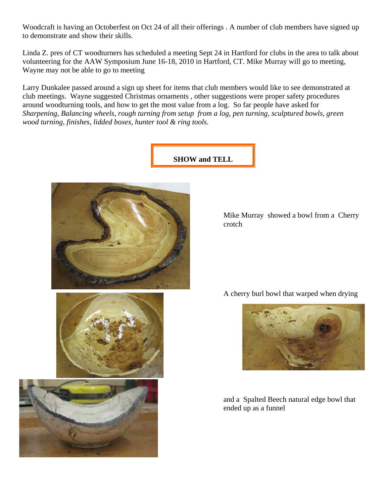Woodcraft is having an Octoberfest on Oct 24 of all their offerings . A number of club members have signed up to demonstrate and show their skills.

Linda Z. pres of CT woodturners has scheduled a meeting Sept 24 in Hartford for clubs in the area to talk about volunteering for the AAW Symposium June 16-18, 2010 in Hartford, CT. Mike Murray will go to meeting, Wayne may not be able to go to meeting

Larry Dunkalee passed around a sign up sheet for items that club members would like to see demonstrated at club meetings. Wayne suggested Christmas ornaments , other suggestions were proper safety procedures around woodturning tools, and how to get the most value from a log. So far people have asked for *Sharpening, Balancing wheels, rough turning from setup from a log, pen turning, sculptured bowls, green wood turning, finishes, lidded boxes, hunter tool & ring tools.* 

**SHOW and TELL** 







Mike Murray showed a bowl from a Cherry crotch

A cherry burl bowl that warped when drying



and a Spalted Beech natural edge bowl that ended up as a funnel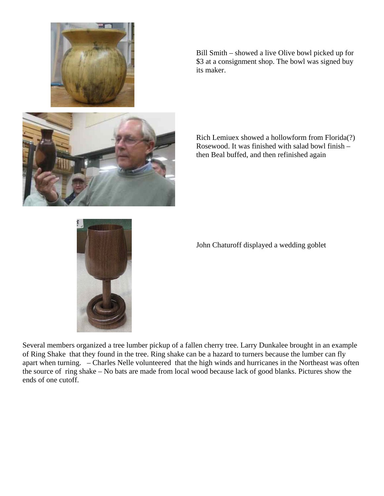

Bill Smith – showed a live Olive bowl picked up for \$3 at a consignment shop. The bowl was signed buy its maker.



Rich Lemiuex showed a hollowform from Florida(?) Rosewood. It was finished with salad bowl finish – then Beal buffed, and then refinished again



John Chaturoff displayed a wedding goblet

Several members organized a tree lumber pickup of a fallen cherry tree. Larry Dunkalee brought in an example of Ring Shake that they found in the tree. Ring shake can be a hazard to turners because the lumber can fly apart when turning. – Charles Nelle volunteered that the high winds and hurricanes in the Northeast was often the source of ring shake – No bats are made from local wood because lack of good blanks. Pictures show the ends of one cutoff.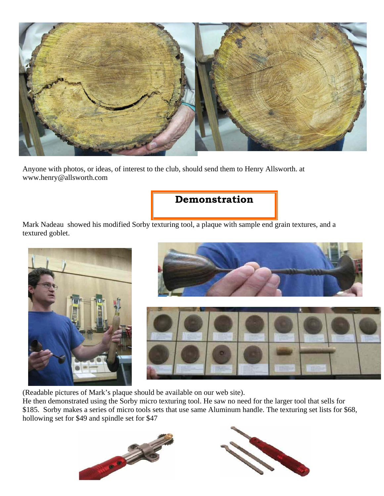

Anyone with photos, or ideas, of interest to the club, should send them to Henry Allsworth. at www.henry@allsworth.com

**Demonstration** 

Mark Nadeau showed his modified Sorby texturing tool, a plaque with sample end grain textures, and a textured goblet.





(Readable pictures of Mark's plaque should be available on our web site).

He then demonstrated using the Sorby micro texturing tool. He saw no need for the larger tool that sells for \$185. Sorby makes a series of micro tools sets that use same Aluminum handle. The texturing set lists for \$68, hollowing set for \$49 and spindle set for \$47



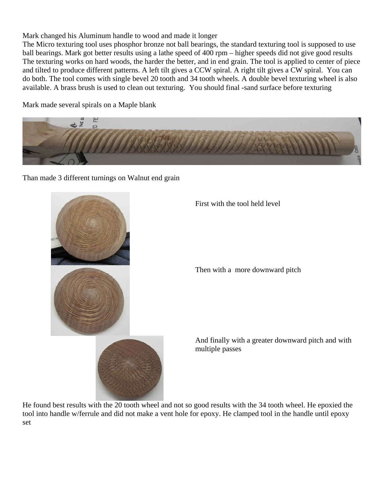Mark changed his Aluminum handle to wood and made it longer

The Micro texturing tool uses phosphor bronze not ball bearings, the standard texturing tool is supposed to use ball bearings. Mark got better results using a lathe speed of 400 rpm – higher speeds did not give good results The texturing works on hard woods, the harder the better, and in end grain. The tool is applied to center of piece and tilted to produce different patterns. A left tilt gives a CCW spiral. A right tilt gives a CW spiral. You can do both. The tool comes with single bevel 20 tooth and 34 tooth wheels. A double bevel texturing wheel is also available. A brass brush is used to clean out texturing. You should final -sand surface before texturing

Mark made several spirals on a Maple blank



Than made 3 different turnings on Walnut end grain



First with the tool held level

Then with a more downward pitch

 And finally with a greater downward pitch and with multiple passes

He found best results with the 20 tooth wheel and not so good results with the 34 tooth wheel. He epoxied the tool into handle w/ferrule and did not make a vent hole for epoxy. He clamped tool in the handle until epoxy set